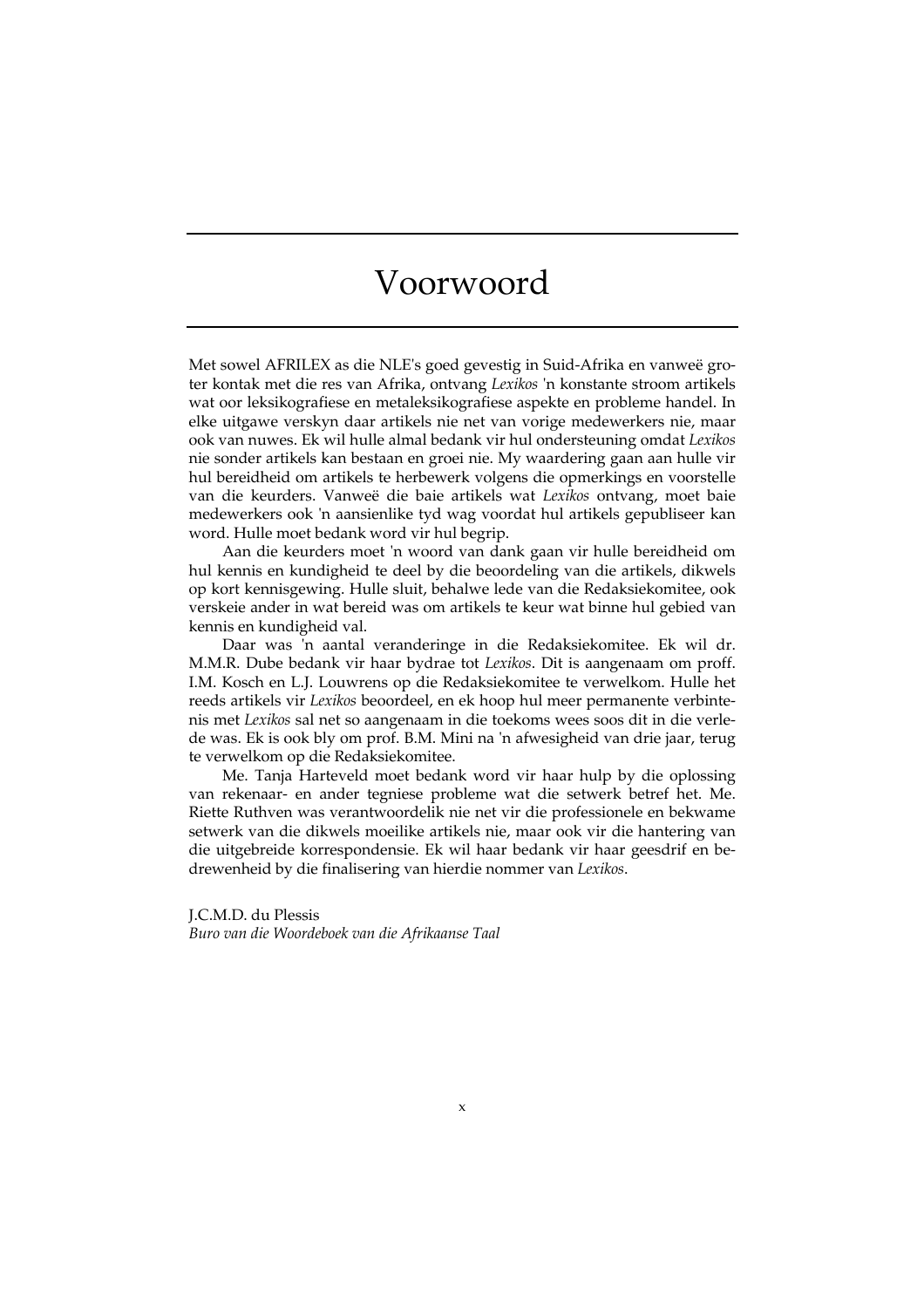## Voorwoord

Met sowel AFRILEX as die NLE's goed gevestig in Suid-Afrika en vanweë groter kontak met die res van Afrika, ontvang *Lexikos* 'n konstante stroom artikels wat oor leksikografiese en metaleksikografiese aspekte en probleme handel. In elke uitgawe verskyn daar artikels nie net van vorige medewerkers nie, maar ook van nuwes. Ek wil hulle almal bedank vir hul ondersteuning omdat *Lexikos* nie sonder artikels kan bestaan en groei nie. My waardering gaan aan hulle vir hul bereidheid om artikels te herbewerk volgens die opmerkings en voorstelle van die keurders. Vanweë die baie artikels wat *Lexikos* ontvang, moet baie medewerkers ook 'n aansienlike tyd wag voordat hul artikels gepubliseer kan word. Hulle moet bedank word vir hul begrip.

Aan die keurders moet 'n woord van dank gaan vir hulle bereidheid om hul kennis en kundigheid te deel by die beoordeling van die artikels, dikwels op kort kennisgewing. Hulle sluit, behalwe lede van die Redaksiekomitee, ook verskeie ander in wat bereid was om artikels te keur wat binne hul gebied van kennis en kundigheid val.

Daar was 'n aantal veranderinge in die Redaksiekomitee. Ek wil dr. M.M.R. Dube bedank vir haar bydrae tot *Lexikos*. Dit is aangenaam om proff. I.M. Kosch en L.J. Louwrens op die Redaksiekomitee te verwelkom. Hulle het reeds artikels vir *Lexikos* beoordeel, en ek hoop hul meer permanente verbintenis met *Lexikos* sal net so aangenaam in die toekoms wees soos dit in die verlede was. Ek is ook bly om prof. B.M. Mini na 'n afwesigheid van drie jaar, terug te verwelkom op die Redaksiekomitee.

Me. Tanja Harteveld moet bedank word vir haar hulp by die oplossing van rekenaar- en ander tegniese probleme wat die setwerk betref het. Me. Riette Ruthven was verantwoordelik nie net vir die professionele en bekwame setwerk van die dikwels moeilike artikels nie, maar ook vir die hantering van die uitgebreide korrespondensie. Ek wil haar bedank vir haar geesdrif en bedrewenheid by die finalisering van hierdie nommer van *Lexikos*.

J.C.M.D. du Plessis *Buro van die Woordeboek van die Afrikaanse Taal*